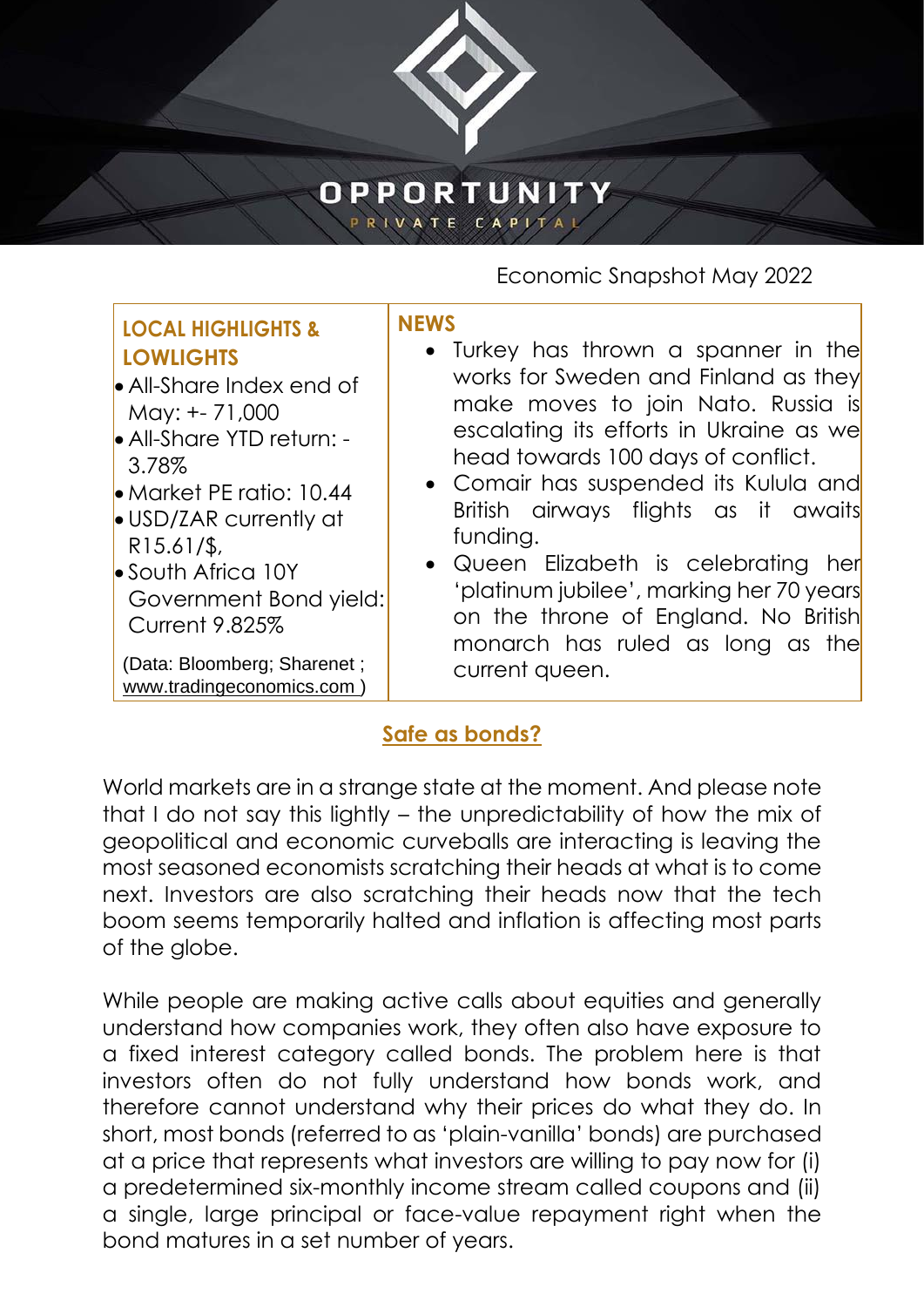

## **OPPORTUNITY** RIVATE CAPITA

Economic Snapshot May 2022

| <b>LOCAL HIGHLIGHTS &amp;</b>    | <b>NEWS</b>                              |
|----------------------------------|------------------------------------------|
| <b>LOWLIGHTS</b>                 | • Turkey has thrown a spanner in the     |
| All-Share Index end of           | works for Sweden and Finland as they     |
| May: +- 71,000                   | make moves to join Nato. Russia is       |
| All-Share YTD return: -          | escalating its efforts in Ukraine as we  |
| 3.78%                            | head towards 100 days of conflict.       |
| $\bullet$ Market PE ratio: 10.44 | • Comair has suspended its Kulula and    |
| <b>USD/ZAR currently at</b>      | British airways flights as it awaits     |
| $R15.61/\$$ ,                    | funding.                                 |
| South Africa 10Y                 | • Queen Elizabeth is celebrating her     |
| Government Bond yield:           | 'platinum jubilee', marking her 70 years |
| <b>Current 9.825%</b>            | on the throne of England. No British     |
| (Data: Bloomberg; Sharenet;      | monarch has ruled as long as the         |
| www.tradingeconomics.com)        | current queen.                           |

## **Safe as bonds?**

World markets are in a strange state at the moment. And please note that I do not say this lightly – the unpredictability of how the mix of geopolitical and economic curveballs are interacting is leaving the most seasoned economists scratching their heads at what is to come next. Investors are also scratching their heads now that the tech boom seems temporarily halted and inflation is affecting most parts of the globe.

While people are making active calls about equities and generally understand how companies work, they often also have exposure to a fixed interest category called bonds. The problem here is that investors often do not fully understand how bonds work, and therefore cannot understand why their prices do what they do. In short, most bonds (referred to as 'plain-vanilla' bonds) are purchased at a price that represents what investors are willing to pay now for (i) a predetermined six-monthly income stream called coupons and (ii) a single, large principal or face-value repayment right when the bond matures in a set number of years.